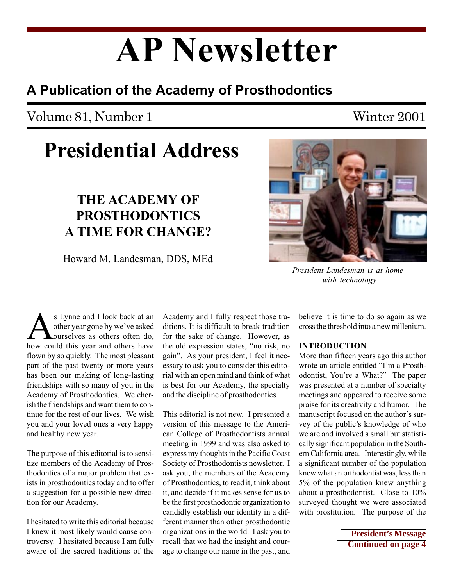# AP Newsletter

### A Publication of the Academy of Prosthodontics

### Volume 81, Number 1 Winter 2001

## Presidential Address

### THE ACADEMY OF PROSTHODONTICS A TIME FOR CHANGE?

Howard M. Landesman, DDS, MEd



More than fifteen years ago this author wrote an article entitled "I'm a Prosthodontist, You're a What?" The paper was presented at a number of specialty meetings and appeared to receive some praise for its creativity and humor. The manuscript focused on the author's survey of the public's knowledge of who we are and involved a small but statistically significant population in the Southern California area. Interestingly, while a significant number of the population knew what an orthodontist was, less than 5% of the population knew anything about a prosthodontist. Close to 10% surveyed thought we were associated with prostitution. The purpose of the

> **President's Message Continued on page 4**

S Lynne and I look back at an other year gone by we've asked ourselves as others often do, how could this year and others have other year gone by we've asked ourselves as others often do, flown by so quickly. The most pleasant part of the past twenty or more years has been our making of long-lasting friendships with so many of you in the Academy of Prosthodontics. We cherish the friendships and want them to continue for the rest of our lives. We wish you and your loved ones a very happy and healthy new year.

The purpose of this editorial is to sensitize members of the Academy of Prosthodontics of a major problem that exists in prosthodontics today and to offer a suggestion for a possible new direction for our Academy.

I hesitated to write this editorial because I knew it most likely would cause controversy. I hesitated because I am fully aware of the sacred traditions of the Academy and I fully respect those traditions. It is difficult to break tradition for the sake of change. However, as the old expression states, "no risk, no gain". As your president, I feel it necessary to ask you to consider this editorial with an open mind and think of what is best for our Academy, the specialty and the discipline of prosthodontics.

This editorial is not new. I presented a version of this message to the American College of Prosthodontists annual meeting in 1999 and was also asked to express my thoughts in the Pacific Coast Society of Prosthodontists newsletter. I ask you, the members of the Academy of Prosthodontics, to read it, think about it, and decide if it makes sense for us to be the first prosthodontic organization to candidly establish our identity in a different manner than other prosthodontic organizations in the world. I ask you to recall that we had the insight and courage to change our name in the past, and

President Landesman is at home with technology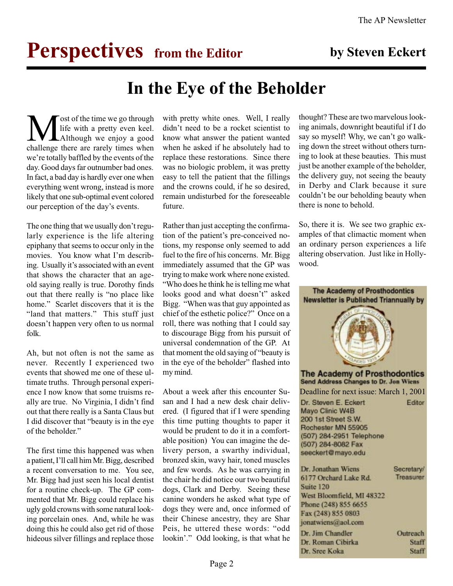# **Perspectives** from the Editor by Steven Eckert

### In the Eye of the Beholder

**M** ost of the time we go through<br>life with a pretty even keel.<br>challenge there are rarely times when life with a pretty even keel. Although we enjoy a good we're totally baffled by the events of the day. Good days far outnumber bad ones. In fact, a bad day is hardly ever one when everything went wrong, instead is more likely that one sub-optimal event colored our perception of the day's events.

The one thing that we usually don't regularly experience is the life altering epiphany that seems to occur only in the movies. You know what I'm describing. Usually it's associated with an event that shows the character that an ageold saying really is true. Dorothy finds out that there really is "no place like home." Scarlet discovers that it is the "land that matters." This stuff just doesn't happen very often to us normal folk.

Ah, but not often is not the same as never. Recently I experienced two events that showed me one of these ultimate truths. Through personal experience I now know that some truisms really are true. No Virginia, I didn't find out that there really is a Santa Claus but I did discover that "beauty is in the eye of the beholder.

The first time this happened was when a patient, I'll call him Mr. Bigg, described a recent conversation to me. You see, Mr. Bigg had just seen his local dentist for a routine check-up. The GP commented that Mr. Bigg could replace his ugly gold crowns with some natural looking porcelain ones. And, while he was doing this he could also get rid of those hideous silver fillings and replace those

with pretty white ones. Well, I really didn't need to be a rocket scientist to know what answer the patient wanted when he asked if he absolutely had to replace these restorations. Since there was no biologic problem, it was pretty easy to tell the patient that the fillings and the crowns could, if he so desired, remain undisturbed for the foreseeable future.

Rather than just accepting the confirmation of the patient's pre-conceived notions, my response only seemed to add fuel to the fire of his concerns. Mr. Bigg immediately assumed that the GP was trying to make work where none existed. Who does he think he is telling me what looks good and what doesn't" asked Bigg. When was that guy appointed as chief of the esthetic police?" Once on a roll, there was nothing that I could say to discourage Bigg from his pursuit of universal condemnation of the GP. At that moment the old saying of "beauty is" in the eye of the beholder" flashed into my mind.

About a week after this encounter Susan and I had a new desk chair delivered. (I figured that if I were spending this time putting thoughts to paper it would be prudent to do it in a comfortable position) You can imagine the delivery person, a swarthy individual, bronzed skin, wavy hair, toned muscles and few words. As he was carrying in the chair he did notice our two beautiful dogs, Clark and Derby. Seeing these canine wonders he asked what type of dogs they were and, once informed of their Chinese ancestry, they are Shar Peis, he uttered these words: "odd lookin'." Odd looking, is that what he

thought? These are two marvelous looking animals, downright beautiful if I do say so myself! Why, we can't go walking down the street without others turning to look at these beauties. This must just be another example of the beholder, the delivery guy, not seeing the beauty in Derby and Clark because it sure couldn't be our beholding beauty when there is none to behold.

So, there it is. We see two graphic examples of that climactic moment when an ordinary person experiences a life altering observation. Just like in Hollywood.

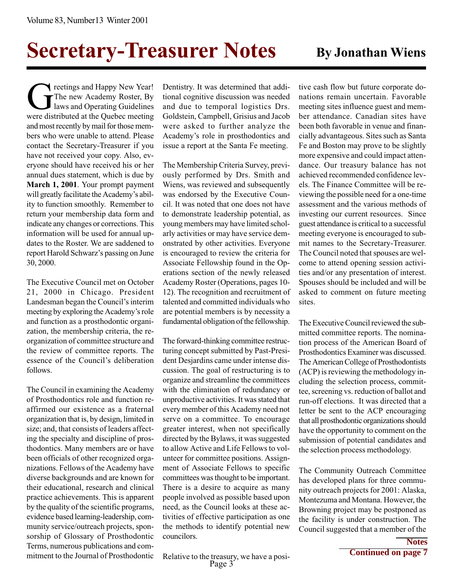# Secretary-Treasurer Notes By Jonathan Wiens

The new Academy New Year!<br>The new Academy Roster, By<br>laws and Operating Guidelines<br>were distributed at the Ouebec meeting The new Academy Roster, By laws and Operating Guidelines were distributed at the Quebec meeting and most recently by mail for those members who were unable to attend. Please contact the Secretary-Treasurer if you have not received your copy. Also, everyone should have received his or her annual dues statement, which is due by March 1, 2001. Your prompt payment will greatly facilitate the Academy's ability to function smoothly. Remember to return your membership data form and indicate any changes or corrections. This information will be used for annual updates to the Roster. We are saddened to report Harold Schwarz's passing on June 30, 2000.

The Executive Council met on October 21, 2000 in Chicago. President Landesman began the Council's interim meeting by exploring the Academy's role and function as a prosthodontic organization, the membership criteria, the reorganization of committee structure and the review of committee reports. The essence of the Council's deliberation follows.

The Council in examining the Academy of Prosthodontics role and function reaffirmed our existence as a fraternal organization that is, by design, limited in size; and, that consists of leaders affecting the specialty and discipline of prosthodontics. Many members are or have been officials of other recognized organizations. Fellows of the Academy have diverse backgrounds and are known for their educational, research and clinical practice achievements. This is apparent by the quality of the scientific programs, evidence based learning-leadership, community service/outreach projects, sponsorship of Glossary of Prosthodontic Terms, numerous publications and commitment to the Journal of Prosthodontic

Dentistry. It was determined that additional cognitive discussion was needed and due to temporal logistics Drs. Goldstein, Campbell, Grisius and Jacob were asked to further analyze the Academy's role in prosthodontics and issue a report at the Santa Fe meeting.

The Membership Criteria Survey, previously performed by Drs. Smith and Wiens, was reviewed and subsequently was endorsed by the Executive Council. It was noted that one does not have to demonstrate leadership potential, as young members may have limited scholarly activities or may have service demonstrated by other activities. Everyone is encouraged to review the criteria for Associate Fellowship found in the Operations section of the newly released Academy Roster (Operations, pages 10- 12). The recognition and recruitment of talented and committed individuals who are potential members is by necessity a fundamental obligation of the fellowship.

The forward-thinking committee restructuring concept submitted by Past-President Desjardins came under intense discussion. The goal of restructuring is to organize and streamline the committees with the elimination of redundancy or unproductive activities. It was stated that every member of this Academy need not serve on a committee. To encourage greater interest, when not specifically directed by the Bylaws, it was suggested to allow Active and Life Fellows to volunteer for committee positions. Assignment of Associate Fellows to specific committees was thought to be important. There is a desire to acquire as many people involved as possible based upon need, as the Council looks at these activities of effective participation as one the methods to identify potential new councilors.

tive cash flow but future corporate donations remain uncertain. Favorable meeting sites influence guest and member attendance. Canadian sites have been both favorable in venue and financially advantageous. Sites such as Santa Fe and Boston may prove to be slightly more expensive and could impact attendance. Our treasury balance has not achieved recommended confidence levels. The Finance Committee will be reviewing the possible need for a one-time assessment and the various methods of investing our current resources. Since guest attendance is critical to a successful meeting everyone is encouraged to submit names to the Secretary-Treasurer. The Council noted that spouses are welcome to attend opening session activities and/or any presentation of interest. Spouses should be included and will be asked to comment on future meeting sites.

The Executive Council reviewed the submitted committee reports. The nomination process of the American Board of Prosthodontics Examiner was discussed. The American College of Prosthodontists (ACP) is reviewing the methodology including the selection process, committee, screening vs. reduction of ballot and run-off elections. It was directed that a letter be sent to the ACP encouraging that all prosthodontic organizations should have the opportunity to comment on the submission of potential candidates and the selection process methodology.

The Community Outreach Committee has developed plans for three community outreach projects for 2001: Alaska, Montezuma and Montana. However, the Browning project may be postponed as the facility is under construction. The Council suggested that a member of the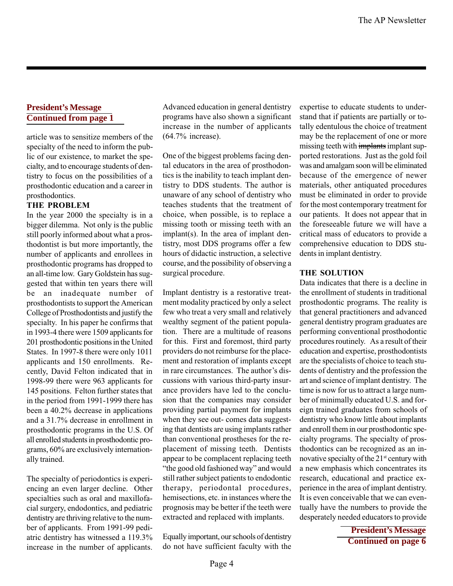#### **President's Message Continued from page 1**

article was to sensitize members of the specialty of the need to inform the public of our existence, to market the specialty, and to encourage students of dentistry to focus on the possibilities of a prosthodontic education and a career in prosthodontics.

#### THE PROBLEM

In the year 2000 the specialty is in a bigger dilemma. Not only is the public still poorly informed about what a prosthodontist is but more importantly, the number of applicants and enrollees in prosthodontic programs has dropped to an all-time low. Gary Goldstein has suggested that within ten years there will be an inadequate number of prosthodontists to support the American College of Prosthodontists and justify the specialty. In his paper he confirms that in 1993-4 there were 1509 applicants for 201 prosthodontic positions in the United States. In 1997-8 there were only 1011 applicants and 150 enrollments. Recently, David Felton indicated that in 1998-99 there were 963 applicants for 145 positions. Felton further states that in the period from 1991-1999 there has been a 40.2% decrease in applications and a 31.7% decrease in enrollment in prosthodontic programs in the U.S. Of all enrolled students in prosthodontic programs, 60% are exclusively internationally trained.

The specialty of periodontics is experiencing an even larger decline. Other specialties such as oral and maxillofacial surgery, endodontics, and pediatric dentistry are thriving relative to the number of applicants. From 1991-99 pediatric dentistry has witnessed a 119.3% increase in the number of applicants.

Advanced education in general dentistry programs have also shown a significant increase in the number of applicants (64.7% increase).

One of the biggest problems facing dental educators in the area of prosthodontics is the inability to teach implant dentistry to DDS students. The author is unaware of any school of dentistry who teaches students that the treatment of choice, when possible, is to replace a missing tooth or missing teeth with an implant(s). In the area of implant dentistry, most DDS programs offer a few hours of didactic instruction, a selective course, and the possibility of observing a surgical procedure.

Implant dentistry is a restorative treatment modality practiced by only a select few who treat a very small and relatively wealthy segment of the patient population. There are a multitude of reasons for this. First and foremost, third party providers do not reimburse for the placement and restoration of implants except in rare circumstances. The author's discussions with various third-party insurance providers have led to the conclusion that the companies may consider providing partial payment for implants when they see out- comes data suggesting that dentists are using implants rather than conventional prostheses for the replacement of missing teeth. Dentists appear to be complacent replacing teeth "the good old fashioned way" and would still rather subject patients to endodontic therapy, periodontal procedures, hemisections, etc. in instances where the prognosis may be better if the teeth were extracted and replaced with implants.

Equally important, our schools of dentistry do not have sufficient faculty with the

expertise to educate students to understand that if patients are partially or totally edentulous the choice of treatment may be the replacement of one or more missing teeth with implants implant supported restorations. Just as the gold foil was and amalgam soon will be eliminated because of the emergence of newer materials, other antiquated procedures must be eliminated in order to provide for the most contemporary treatment for our patients. It does not appear that in the foreseeable future we will have a critical mass of educators to provide a comprehensive education to DDS students in implant dentistry.

#### THE SOLUTION

Data indicates that there is a decline in the enrollment of students in traditional prosthodontic programs. The reality is that general practitioners and advanced general dentistry program graduates are performing conventional prosthodontic procedures routinely. As a result of their education and expertise, prosthodontists are the specialists of choice to teach students of dentistry and the profession the art and science of implant dentistry. The time is now for us to attract a large number of minimally educated U.S. and foreign trained graduates from schools of dentistry who know little about implants and enroll them in our prosthodontic specialty programs. The specialty of prosthodontics can be recognized as an innovative specialty of the  $21^{st}$  century with a new emphasis which concentrates its research, educational and practice experience in the area of implant dentistry. It is even conceivable that we can eventually have the numbers to provide the desperately needed educators to provide

> **President's Message Continued on page 6**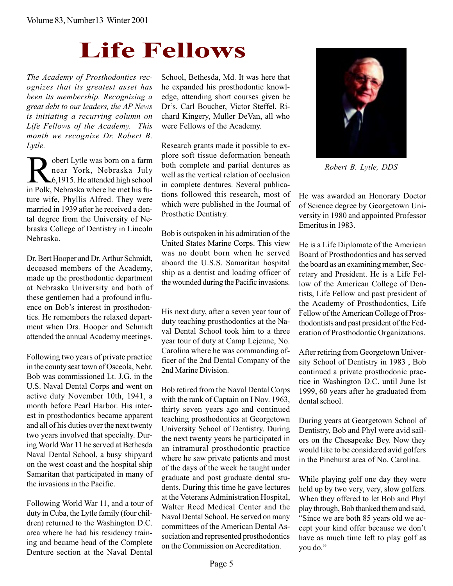# Life Fellows

The Academy of Prosthodontics recognizes that its greatest asset has been its membership. Recognizing a great debt to our leaders, the AP News is initiating a recurring column on Life Fellows of the Academy. This month we recognize Dr. Robert B. Lytle.

**Robert Lytle was born on a farm<br>near York, Nebraska July<br>6,1915. He attended high school<br>in Polk Nebraska where he met his fu**near York, Nebraska July 6,1915. He attended high school in Polk, Nebraska where he met his future wife, Phyllis Alfred. They were married in 1939 after he received a dental degree from the University of Nebraska College of Dentistry in Lincoln Nebraska.

Dr. Bert Hooper and Dr. Arthur Schmidt, deceased members of the Academy, made up the prosthodontic department at Nebraska University and both of these gentlemen had a profound influence on Bob's interest in prosthodontics. He remembers the relaxed department when Drs. Hooper and Schmidt attended the annual Academy meetings.

Following two years of private practice in the county seat town of Osceola, Nebr. Bob was commissioned Lt. J.G. in the U.S. Naval Dental Corps and went on active duty November 10th, 1941, a month before Pearl Harbor. His interest in prosthodontics became apparent and all of his duties over the next twenty two years involved that specialty. During World War 11 he served at Bethesda Naval Dental School, a busy shipyard on the west coast and the hospital ship Samaritan that participated in many of the invasions in the Pacific.

Following World War 11, and a tour of duty in Cuba, the Lytle family (four children) returned to the Washington D.C. area where he had his residency training and became head of the Complete Denture section at the Naval Dental

School, Bethesda, Md. It was here that he expanded his prosthodontic knowledge, attending short courses given be Dr's. Carl Boucher, Victor Steffel, Richard Kingery, Muller DeVan, all who were Fellows of the Academy.

Research grants made it possible to explore soft tissue deformation beneath both complete and partial dentures as well as the vertical relation of occlusion in complete dentures. Several publications followed this research, most of which were published in the Journal of Prosthetic Dentistry.

Bob is outspoken in his admiration of the United States Marine Corps. This view was no doubt born when he served aboard the U.S.S. Samaritan hospital ship as a dentist and loading officer of the wounded during the Pacific invasions.

His next duty, after a seven year tour of duty teaching prosthodontics at the Naval Dental School took him to a three year tour of duty at Camp Lejeune, No. Carolina where he was commanding officer of the 2nd Dental Company of the 2nd Marine Division.

Bob retired from the Naval Dental Corps with the rank of Captain on I Nov. 1963, thirty seven years ago and continued teaching prosthodontics at Georgetown University School of Dentistry. During the next twenty years he participated in an intramural prosthodontic practice where he saw private patients and most of the days of the week he taught under graduate and post graduate dental students. During this time he gave lectures at the Veterans Administration Hospital, Walter Reed Medical Center and the Naval Dental School. He served on many committees of the American Dental Association and represented prosthodontics on the Commission on Accreditation.



Robert B. Lytle, DDS

He was awarded an Honorary Doctor of Science degree by Georgetown University in 1980 and appointed Professor Emeritus in 1983.

He is a Life Diplomate of the American Board of Prosthodontics and has served the board as an examining member, Secretary and President. He is a Life Fellow of the American College of Dentists, Life Fellow and past president of the Academy of Prosthodontics, Life Fellow of the American College of Prosthodontists and past president of the Federation of Prosthodontic Organizations.

After retiring from Georgetown University School of Dentistry in 1983 , Bob continued a private prosthodonic practice in Washington D.C. until June Ist 1999, 60 years after he graduated from dental school.

During years at Georgetown School of Dentistry, Bob and Phyl were avid sailors on the Chesapeake Bey. Now they would like to be considered avid golfers in the Pinehurst area of No. Carolina.

While playing golf one day they were held up by two very, very, slow golfers. When they offered to let Bob and Phyl play through, Bob thanked them and said, Since we are both 85 years old we accept your kind offer because we don't have as much time left to play golf as you do.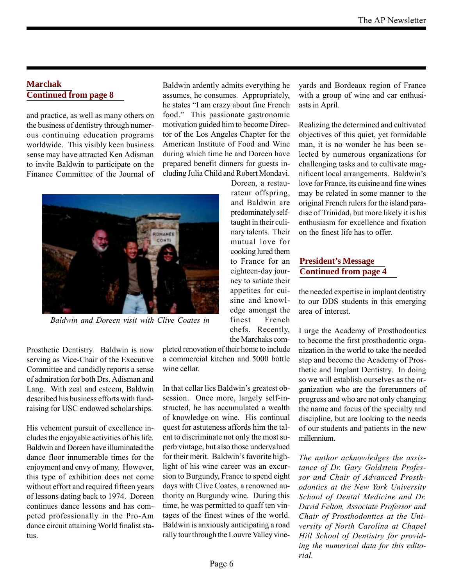#### **Marchak Continued from page 8**

and practice, as well as many others on the business of dentistry through numerous continuing education programs worldwide. This visibly keen business sense may have attracted Ken Adisman to invite Baldwin to participate on the Finance Committee of the Journal of Baldwin ardently admits everything he assumes, he consumes. Appropriately, he states "I am crazy about fine French food." This passionate gastronomic motivation guided him to become Director of the Los Angeles Chapter for the American Institute of Food and Wine during which time he and Doreen have prepared benefit dinners for guests including Julia Child and Robert Mondavi.

> Doreen, a restaurateur offspring, and Baldwin are predominately selftaught in their culinary talents. Their mutual love for cooking lured them to France for an eighteen-day journey to satiate their appetites for cuisine and knowledge amongst the finest French chefs. Recently, the Marchaks com-



Baldwin and Doreen visit with Clive Coates in

Prosthetic Dentistry. Baldwin is now serving as Vice-Chair of the Executive Committee and candidly reports a sense of admiration for both Drs. Adisman and Lang. With zeal and esteem, Baldwin described his business efforts with fundraising for USC endowed scholarships.

His vehement pursuit of excellence includes the enjoyable activities of his life. Baldwin and Doreen have illuminated the dance floor innumerable times for the enjoyment and envy of many. However, this type of exhibition does not come without effort and required fifteen years of lessons dating back to 1974. Doreen continues dance lessons and has competed professionally in the Pro-Am dance circuit attaining World finalist status.

pleted renovation of their home to include a commercial kitchen and 5000 bottle wine cellar.

In that cellar lies Baldwin's greatest obsession. Once more, largely self-instructed, he has accumulated a wealth of knowledge on wine. His continual quest for astuteness affords him the talent to discriminate not only the most superb vintage, but also those undervalued for their merit. Baldwin's favorite highlight of his wine career was an excursion to Burgundy, France to spend eight days with Clive Coates, a renowned authority on Burgundy wine. During this time, he was permitted to quaff ten vintages of the finest wines of the world. Baldwin is anxiously anticipating a road rally tour through the Louvre Valley vineyards and Bordeaux region of France with a group of wine and car enthusiasts in April.

Realizing the determined and cultivated objectives of this quiet, yet formidable man, it is no wonder he has been selected by numerous organizations for challenging tasks and to cultivate magnificent local arrangements. Baldwin's love for France, its cuisine and fine wines may be related in some manner to the original French rulers for the island paradise of Trinidad, but more likely it is his enthusiasm for excellence and fixation on the finest life has to offer.

### **President's Message Continued from page 4**

the needed expertise in implant dentistry to our DDS students in this emerging area of interest.

I urge the Academy of Prosthodontics to become the first prosthodontic organization in the world to take the needed step and become the Academy of Prosthetic and Implant Dentistry. In doing so we will establish ourselves as the organization who are the forerunners of progress and who are not only changing the name and focus of the specialty and discipline, but are looking to the needs of our students and patients in the new millennium.

The author acknowledges the assistance of Dr. Gary Goldstein Professor and Chair of Advanced Prosthodontics at the New York University School of Dental Medicine and Dr. David Felton, Associate Professor and Chair of Prosthodontics at the University of North Carolina at Chapel Hill School of Dentistry for providing the numerical data for this editorial.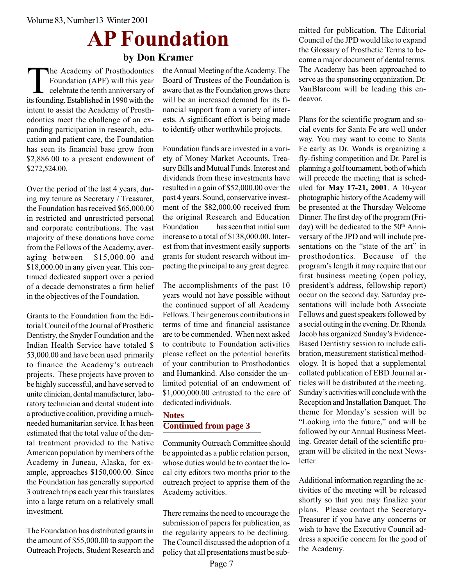# AP Foundation

by Don Kramer

The Academy of Prosthodontics<br>Foundation (APF) will this year<br>celebrate the tenth anniversary of<br>its founding Established in 1990 with the Foundation (APF) will this year celebrate the tenth anniversary of its founding. Established in 1990 with the intent to assist the Academy of Prosthodontics meet the challenge of an expanding participation in research, education and patient care, the Foundation has seen its financial base grow from \$2,886.00 to a present endowment of \$272,524.00.

Over the period of the last 4 years, during my tenure as Secretary / Treasurer, the Foundation has received \$65,000.00 in restricted and unrestricted personal and corporate contributions. The vast majority of these donations have come from the Fellows of the Academy, averaging between \$15,000.00 and \$18,000.00 in any given year. This continued dedicated support over a period of a decade demonstrates a firm belief in the objectives of the Foundation.

Grants to the Foundation from the Editorial Council of the Journal of Prosthetic Dentistry, the Snyder Foundation and the Indian Health Service have totaled \$ 53,000.00 and have been used primarily to finance the Academy's outreach projects. These projects have proven to be highly successful, and have served to unite clinician, dental manufacturer, laboratory technician and dental student into a productive coalition, providing a muchneeded humanitarian service. It has been estimated that the total value of the dental treatment provided to the Native American population by members of the Academy in Juneau, Alaska, for example, approaches \$150,000.00. Since the Foundation has generally supported 3 outreach trips each year this translates into a large return on a relatively small investment.

The Foundation has distributed grants in the amount of \$55,000.00 to support the Outreach Projects, Student Research and the Annual Meeting of the Academy. The Board of Trustees of the Foundation is aware that as the Foundation grows there will be an increased demand for its financial support from a variety of interests. A significant effort is being made to identify other worthwhile projects.

Foundation funds are invested in a variety of Money Market Accounts, Treasury Bills and Mutual Funds. Interest and dividends from these investments have resulted in a gain of \$52,000.00 over the past 4 years. Sound, conservative investment of the \$82,000.00 received from the original Research and Education Foundation has seen that initial sum increase to a total of \$138,000.00. Interest from that investment easily supports grants for student research without impacting the principal to any great degree.

The accomplishments of the past 10 years would not have possible without the continued support of all Academy Fellows. Their generous contributions in terms of time and financial assistance are to be commended. When next asked to contribute to Foundation activities please reflect on the potential benefits of your contribution to Prosthodontics and Humankind. Also consider the unlimited potential of an endowment of \$1,000,000.00 entrusted to the care of dedicated individuals.

### **Notes Continued from page 3**

Community Outreach Committee should be appointed as a public relation person, whose duties would be to contact the local city editors two months prior to the outreach project to apprise them of the Academy activities.

There remains the need to encourage the submission of papers for publication, as the regularity appears to be declining. The Council discussed the adoption of a policy that all presentations must be submitted for publication. The Editorial Council of the JPD would like to expand the Glossary of Prosthetic Terms to become a major document of dental terms. The Academy has been approached to serve as the sponsoring organization. Dr. VanBlarcom will be leading this endeavor.

Plans for the scientific program and social events for Santa Fe are well under way. You may want to come to Santa Fe early as Dr. Wands is organizing a fly-fishing competition and Dr. Parel is planning a golf tournament, both of which will precede the meeting that is scheduled for May 17-21, 2001. A 10-year photographic history of the Academy will be presented at the Thursday Welcome Dinner. The first day of the program (Friday) will be dedicated to the  $50<sup>th</sup>$  Anniversary of the JPD and will include presentations on the "state of the art" in prosthodontics. Because of the program's length it may require that our first business meeting (open policy, president's address, fellowship report) occur on the second day. Saturday presentations will include both Associate Fellows and guest speakers followed by a social outing in the evening. Dr. Rhonda Jacob has organized Sunday's Evidence-Based Dentistry session to include calibration, measurement statistical methodology. It is hoped that a supplemental collated publication of EBD Journal articles will be distributed at the meeting. Sunday's activities will conclude with the Reception and Installation Banquet. The theme for Monday's session will be "Looking into the future," and will be followed by our Annual Business Meeting. Greater detail of the scientific program will be elicited in the next Newsletter.

Additional information regarding the activities of the meeting will be released shortly so that you may finalize your plans. Please contact the Secretary-Treasurer if you have any concerns or wish to have the Executive Council address a specific concern for the good of the Academy.